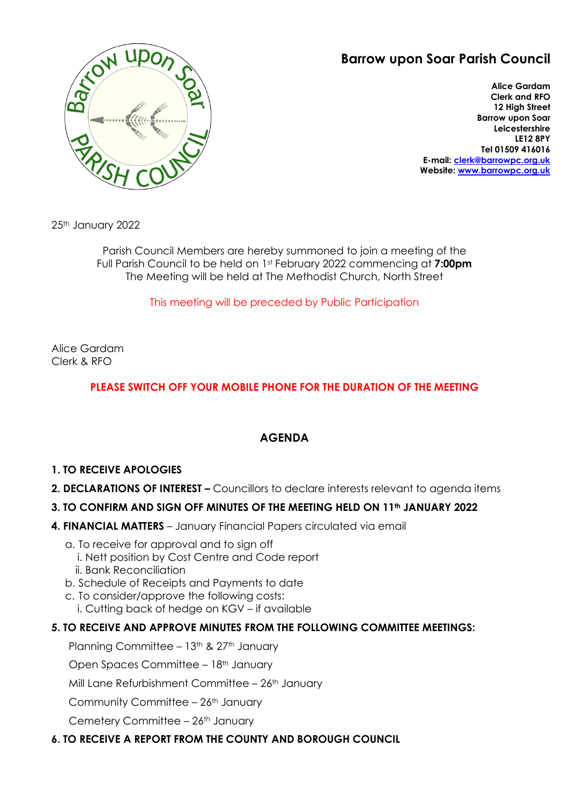# **Barrow upon Soar Parish Council**



**Alice Gardam Clerk and RFO 12 High Street Barrow upon Soar Leicestershire LE12 8PY Tel 01509 416016 E-mail: [clerk@barrowpc.org.uk](mailto:clerk@barrowpc.org.uk) Website: [www.barrowpc.org.uk](http://www.barrowpc.org.uk/)**

25th January 2022

Parish Council Members are hereby summoned to join a meeting of the Full Parish Council to be held on 1st February 2022 commencing at **7:00pm** The Meeting will be held at The Methodist Church, North Street

# This meeting will be preceded by Public Participation

Alice Gardam Clerk & RFO

# **PLEASE SWITCH OFF YOUR MOBILE PHONE FOR THE DURATION OF THE MEETING**

# **AGENDA**

# **1. TO RECEIVE APOLOGIES**

**2. DECLARATIONS OF INTEREST –** Councillors to declare interests relevant to agenda items

# **3. TO CONFIRM AND SIGN OFF MINUTES OF THE MEETING HELD ON 11th JANUARY 2022**

- **4. FINANCIAL MATTERS** January Financial Papers circulated via email
	- a. To receive for approval and to sign off
		- i. Nett position by Cost Centre and Code report
		- ii. Bank Reconciliation
	- b. Schedule of Receipts and Payments to date
	- c. To consider/approve the following costs:
		- i. Cutting back of hedge on KGV if available

# **5. TO RECEIVE AND APPROVE MINUTES FROM THE FOLLOWING COMMITTEE MEETINGS:**

Planning Committee – 13<sup>th</sup> & 27<sup>th</sup> January

Open Spaces Committee – 18<sup>th</sup> January

Mill Lane Refurbishment Committee  $-26$ <sup>th</sup> January

Community Committee  $-26$ <sup>th</sup> January

Cemetery Committee - 26<sup>th</sup> January

#### **6. TO RECEIVE A REPORT FROM THE COUNTY AND BOROUGH COUNCIL**